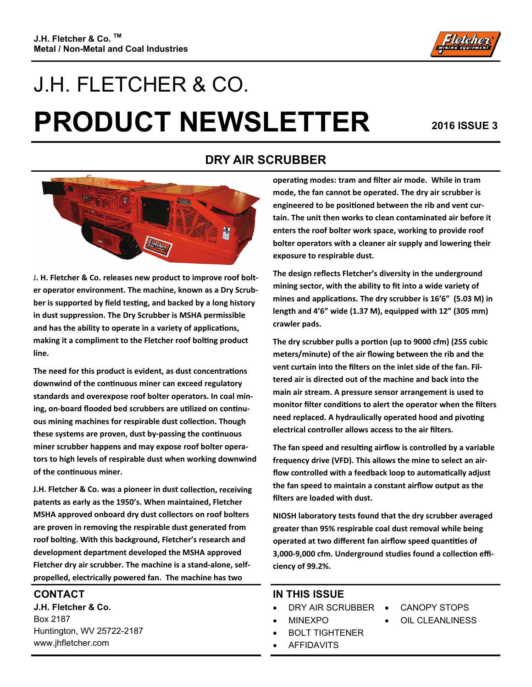

# J.H. FLETCHER & CO. **PRODUCT NEWSLETTER** 2016 ISSUE 3



J**. H. Fletcher & Co. releases new product to improve roof bolt‐ er operator environment. The machine, known as a Dry Scrub‐ ber is supported by field tesƟng, and backed by a long history in dust suppression. The Dry Scrubber is MSHA permissible and has the ability to operate in a variety of applicaƟons, making it a compliment to the Fletcher roof bolƟng product line.** 

**The need for this product is evident, as dust concentraƟons downwind of the conƟnuous miner can exceed regulatory standards and overexpose roof bolter operators. In coal min‐ ing, on-board flooded bed scrubbers are utilized on continuous mining machines for respirable dust collecƟon. Though these systems are proven, dust by‐passing the conƟnuous miner scrubber happens and may expose roof bolter opera‐ tors to high levels of respirable dust when working downwind of the conƟnuous miner.** 

**J.H. Fletcher & Co. was a pioneer in dust collecƟon, receiving patents as early as the 1950's. When maintained, Fletcher MSHA approved onboard dry dust collectors on roof bolters are proven in removing the respirable dust generated from roof bolƟng. With this background, Fletcher's research and development department developed the MSHA approved Fletcher dry air scrubber. The machine is a stand‐alone, self‐ propelled, electrically powered fan. The machine has two**

#### **CONTACT**

**J.H. Fletcher & Co.**  Box 2187 Huntington, WV 25722-2187 www.jhfletcher.com

#### **DRY AIR SCRUBBER**

**operaƟng modes: tram and filter air mode. While in tram mode, the fan cannot be operated. The dry air scrubber is engineered to be posiƟoned between the rib and vent cur‐ tain. The unit then works to clean contaminated air before it enters the roof bolter work space, working to provide roof bolter operators with a cleaner air supply and lowering their exposure to respirable dust.**

**The design reflects Fletcher's diversity in the underground mining sector, with the ability to fit into a wide variety of mines and applicaƟons. The dry scrubber is 16'6" (5.03 M) in length and 4'6" wide (1.37 M), equipped with 12" (305 mm) crawler pads.**

**The dry scrubber pulls a porƟon (up to 9000 cfm) (255 cubic meters/minute) of the air flowing between the rib and the vent curtain into the filters on the inlet side of the fan. Fil‐ tered air is directed out of the machine and back into the main air stream. A pressure sensor arrangement is used to monitor filter condiƟons to alert the operator when the filters need replaced.** A hydraulically operated hood and pivoting **electrical controller allows access to the air filters.**

**The fan speed and resulƟng airflow is controlled by a variable frequency drive (VFD). This allows the mine to select an air‐ flow controlled with a feedback loop to automaƟcally adjust the fan speed to maintain a constant airflow output as the filters are loaded with dust.**

**NIOSH laboratory tests found that the dry scrubber averaged greater than 95% respirable coal dust removal while being operated at two different fan airflow speed quanƟƟes of 3,000‐9,000 cfm. Underground studies found a collecƟon effi‐ ciency of 99.2%.**

#### **IN THIS ISSUE**

- DRY AIR SCRUBBER CANOPY STOPS
- MINEXPO
- BOLT TIGHTENER
- AFFIDAVITS
- 
- OIL CLEANLINESS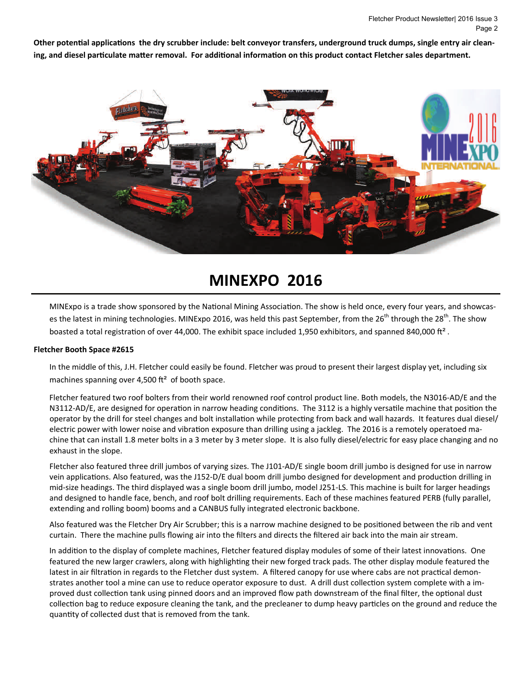Other potential applications the dry scrubber include: belt conveyor transfers, underground truck dumps, single entry air cleaning, and diesel particulate matter removal. For additional information on this product contact Fletcher sales department.



# **MINEXPO 2016**

MINExpo is a trade show sponsored by the National Mining Association. The show is held once, every four years, and showcases the latest in mining technologies. MINExpo 2016, was held this past September, from the 26<sup>th</sup> through the 28<sup>th</sup>. The show boasted a total registration of over 44,000. The exhibit space included 1,950 exhibitors, and spanned 840,000 ft<sup>2</sup>.

#### **Fletcher Booth Space #2615**

In the middle of this, J.H. Fletcher could easily be found. Fletcher was proud to present their largest display yet, including six machines spanning over 4,500  $ft^2$  of booth space.

Fletcher featured two roof bolters from their world renowned roof control product line. Both models, the N3016-AD/E and the N3112-AD/E, are designed for operation in narrow heading conditions. The 3112 is a highly versatile machine that position the operator by the drill for steel changes and bolt installation while protecting from back and wall hazards. It features dual diesel/ electric power with lower noise and vibration exposure than drilling using a jackleg. The 2016 is a remotely operatoed machine that can install 1.8 meter bolts in a 3 meter by 3 meter slope. It is also fully diesel/electric for easy place changing and no exhaust in the slope.

Fletcher also featured three drill jumbos of varying sizes. The J101-AD/E single boom drill jumbo is designed for use in narrow vein applications. Also featured, was the J152-D/E dual boom drill jumbo designed for development and production drilling in mid-size headings. The third displayed was a single boom drill jumbo, model J251-LS. This machine is built for larger headings and designed to handle face, bench, and roof bolt drilling requirements. Each of these machines featured PERB (fully parallel, extending and rolling boom) booms and a CANBUS fully integrated electronic backbone.

Also featured was the Fletcher Dry Air Scrubber; this is a narrow machine designed to be positioned between the rib and vent curtain. There the machine pulls flowing air into the filters and directs the filtered air back into the main air stream.

In addition to the display of complete machines, Fletcher featured display modules of some of their latest innovations. One featured the new larger crawlers, along with highlighting their new forged track pads. The other display module featured the latest in air filtration in regards to the Fletcher dust system. A filtered canopy for use where cabs are not practical demonstrates another tool a mine can use to reduce operator exposure to dust. A drill dust collection system complete with a improved dust collection tank using pinned doors and an improved flow path downstream of the final filter, the optional dust collection bag to reduce exposure cleaning the tank, and the precleaner to dump heavy particles on the ground and reduce the quantity of collected dust that is removed from the tank.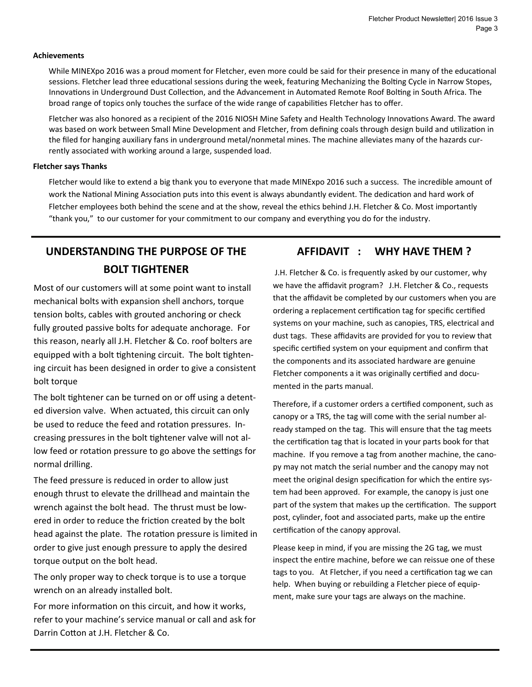#### **Achievements**

While MINEXpo 2016 was a proud moment for Fletcher, even more could be said for their presence in many of the educational sessions. Fletcher lead three educational sessions during the week, featuring Mechanizing the Bolting Cycle in Narrow Stopes, Innovations in Underground Dust Collection, and the Advancement in Automated Remote Roof Bolting in South Africa. The broad range of topics only touches the surface of the wide range of capabilities Fletcher has to offer.

Fletcher was also honored as a recipient of the 2016 NIOSH Mine Safety and Health Technology Innovations Award. The award was based on work between Small Mine Development and Fletcher, from defining coals through design build and utilization in the filed for hanging auxiliary fans in underground metal/nonmetal mines. The machine alleviates many of the hazards currently associated with working around a large, suspended load.

#### **Fletcher says Thanks**

Fletcher would like to extend a big thank you to everyone that made MINExpo 2016 such a success. The incredible amount of work the National Mining Association puts into this event is always abundantly evident. The dedication and hard work of Fletcher employees both behind the scene and at the show, reveal the ethics behind J.H. Fletcher & Co. Most importantly "thank you," to our customer for your commitment to our company and everything you do for the industry.

## **UNDERSTANDING THE PURPOSE OF THE AFFIDAVIT : WHY HAVE THEM ? BOLT TIGHTENER**

Most of our customers will at some point want to install mechanical bolts with expansion shell anchors, torque tension bolts, cables with grouted anchoring or check fully grouted passive bolts for adequate anchorage. For this reason, nearly all J.H. Fletcher & Co. roof bolters are equipped with a bolt tightening circuit. The bolt tightening circuit has been designed in order to give a consistent bolt torque

The bolt tightener can be turned on or off using a detented diversion valve. When actuated, this circuit can only be used to reduce the feed and rotation pressures. Increasing pressures in the bolt tightener valve will not allow feed or rotation pressure to go above the settings for normal drilling.

The feed pressure is reduced in order to allow just enough thrust to elevate the drillhead and maintain the wrench against the bolt head. The thrust must be lowered in order to reduce the friction created by the bolt head against the plate. The rotation pressure is limited in order to give just enough pressure to apply the desired torque output on the bolt head.

The only proper way to check torque is to use a torque wrench on an already installed bolt.

For more information on this circuit, and how it works, refer to your machine's service manual or call and ask for Darrin Cotton at J.H. Fletcher & Co.

J.H. Fletcher & Co. is frequently asked by our customer, why we have the affidavit program? J.H. Fletcher & Co., requests that the affidavit be completed by our customers when you are ordering a replacement certification tag for specific certified systems on your machine, such as canopies, TRS, electrical and dust tags. These affidavits are provided for you to review that specific certified system on your equipment and confirm that the components and its associated hardware are genuine Fletcher components a it was originally certified and documented in the parts manual.

Therefore, if a customer orders a certified component, such as canopy or a TRS, the tag will come with the serial number already stamped on the tag. This will ensure that the tag meets the certification tag that is located in your parts book for that machine. If you remove a tag from another machine, the canopy may not match the serial number and the canopy may not meet the original design specification for which the entire system had been approved. For example, the canopy is just one part of the system that makes up the certification. The support post, cylinder, foot and associated parts, make up the entire certification of the canopy approval.

Please keep in mind, if you are missing the 2G tag, we must inspect the entire machine, before we can reissue one of these tags to you. At Fletcher, if you need a certification tag we can help. When buying or rebuilding a Fletcher piece of equipment, make sure your tags are always on the machine.